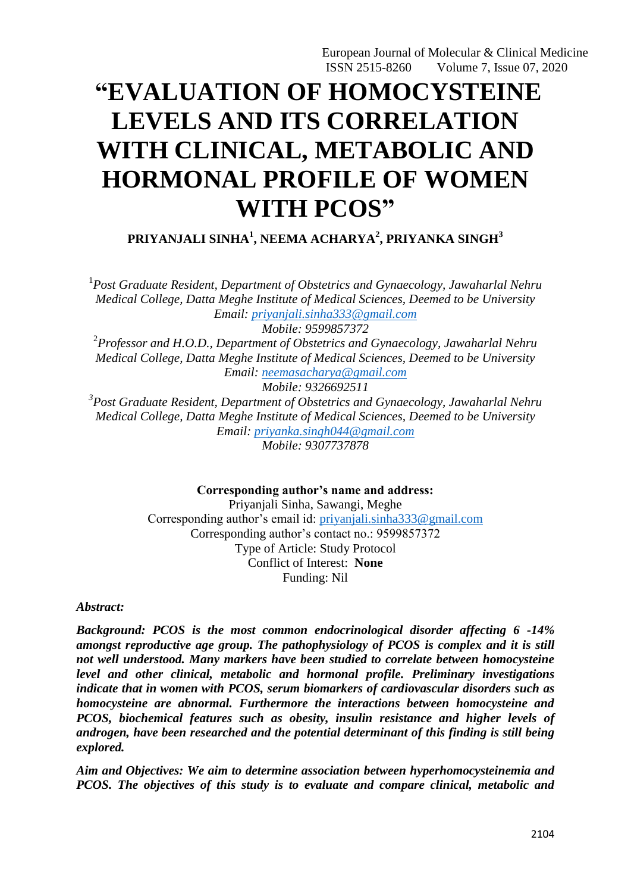# **"EVALUATION OF HOMOCYSTEINE LEVELS AND ITS CORRELATION WITH CLINICAL, METABOLIC AND HORMONAL PROFILE OF WOMEN WITH PCOS"**

**PRIYANJALI SINHA<sup>1</sup> , NEEMA ACHARYA<sup>2</sup> , PRIYANKA SINGH<sup>3</sup>**

<sup>1</sup> Post Graduate Resident, Department of Obstetrics and Gynaecology, Jawaharlal Nehru *Medical College, Datta Meghe Institute of Medical Sciences, Deemed to be University Email: [priyanjali.sinha333@gmail.com](mailto:priyanjali.sinha333@gmail.com)*

*Mobile: 9599857372*

2 *Professor and H.O.D., Department of Obstetrics and Gynaecology, Jawaharlal Nehru Medical College, Datta Meghe Institute of Medical Sciences, Deemed to be University Email: [neemasacharya@gmail.com](mailto:neemasacharya@gmail.com)*

*Mobile: 9326692511*

*3 Post Graduate Resident, Department of Obstetrics and Gynaecology, Jawaharlal Nehru Medical College, Datta Meghe Institute of Medical Sciences, Deemed to be University Email: [priyanka.singh044@gmail.com](mailto:priyanka.singh044@gmail.com) Mobile: 9307737878*

**Corresponding author's name and address:**

Priyanjali Sinha, Sawangi, Meghe Corresponding author's email id: [priyanjali.sinha333@gmail.com](mailto:priyanjali.sinha333@gmail.com) Corresponding author's contact no.: 9599857372 Type of Article: Study Protocol Conflict of Interest: **None** Funding: Nil

*Abstract:*

*Background: PCOS is the most common endocrinological disorder affecting 6 -14% amongst reproductive age group. The pathophysiology of PCOS is complex and it is still not well understood. Many markers have been studied to correlate between homocysteine level and other clinical, metabolic and hormonal profile. Preliminary investigations indicate that in women with PCOS, serum biomarkers of cardiovascular disorders such as homocysteine are abnormal. Furthermore the interactions between homocysteine and PCOS, biochemical features such as obesity, insulin resistance and higher levels of androgen, have been researched and the potential determinant of this finding is still being explored.*

*Aim and Objectives: We aim to determine association between hyperhomocysteinemia and PCOS. The objectives of this study is to evaluate and compare clinical, metabolic and*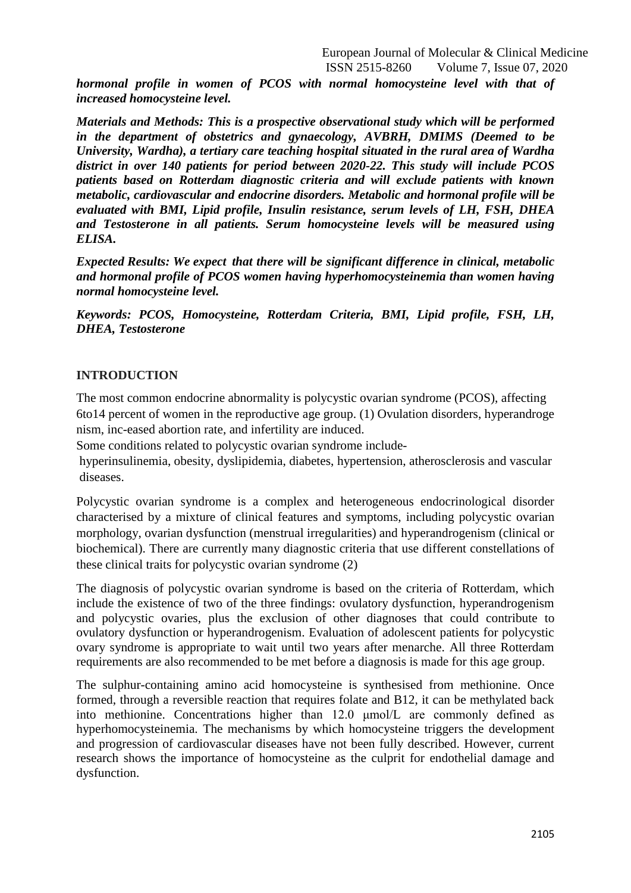*hormonal profile in women of PCOS with normal homocysteine level with that of increased homocysteine level.*

*Materials and Methods: This is a prospective observational study which will be performed in the department of obstetrics and gynaecology, AVBRH, DMIMS (Deemed to be University, Wardha), a tertiary care teaching hospital situated in the rural area of Wardha district in over 140 patients for period between 2020-22. This study will include PCOS patients based on Rotterdam diagnostic criteria and will exclude patients with known metabolic, cardiovascular and endocrine disorders. Metabolic and hormonal profile will be evaluated with BMI, Lipid profile, Insulin resistance, serum levels of LH, FSH, DHEA and Testosterone in all patients. Serum homocysteine levels will be measured using ELISA.*

*Expected Results: We expect that there will be significant difference in clinical, metabolic and hormonal profile of PCOS women having hyperhomocysteinemia than women having normal homocysteine level.*

*Keywords: PCOS, Homocysteine, Rotterdam Criteria, BMI, Lipid profile, FSH, LH, DHEA, Testosterone*

## **INTRODUCTION**

The most common endocrine abnormality is polycystic ovarian syndrome (PCOS), affecting 6to14 percent of women in the reproductive age group. (1) Ovulation disorders, hyperandroge nism, inc-eased abortion rate, and infertility are induced.

Some conditions related to polycystic ovarian syndrome include-

hyperinsulinemia, obesity, dyslipidemia, diabetes, hypertension, atherosclerosis and vascular diseases.

Polycystic ovarian syndrome is a complex and heterogeneous endocrinological disorder characterised by a mixture of clinical features and symptoms, including polycystic ovarian morphology, ovarian dysfunction (menstrual irregularities) and hyperandrogenism (clinical or biochemical). There are currently many diagnostic criteria that use different constellations of these clinical traits for polycystic ovarian syndrome (2)

The diagnosis of polycystic ovarian syndrome is based on the criteria of Rotterdam, which include the existence of two of the three findings: ovulatory dysfunction, hyperandrogenism and polycystic ovaries, plus the exclusion of other diagnoses that could contribute to ovulatory dysfunction or hyperandrogenism. Evaluation of adolescent patients for polycystic ovary syndrome is appropriate to wait until two years after menarche. All three Rotterdam requirements are also recommended to be met before a diagnosis is made for this age group.

The sulphur-containing amino acid homocysteine is synthesised from methionine. Once formed, through a reversible reaction that requires folate and B12, it can be methylated back into methionine. Concentrations higher than 12.0 μmol/L are commonly defined as hyperhomocysteinemia. The mechanisms by which homocysteine triggers the development and progression of cardiovascular diseases have not been fully described. However, current research shows the importance of homocysteine as the culprit for endothelial damage and dysfunction.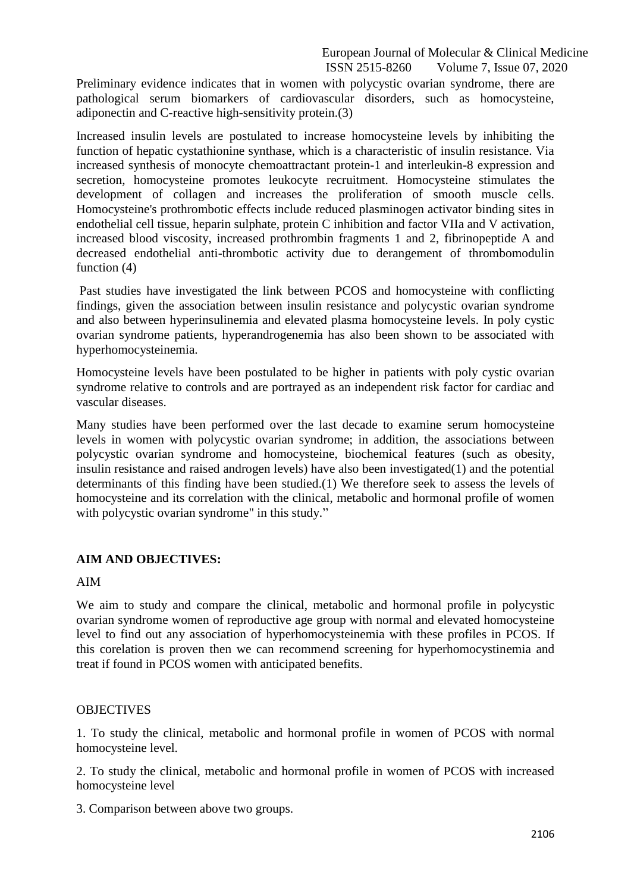Preliminary evidence indicates that in women with polycystic ovarian syndrome, there are pathological serum biomarkers of cardiovascular disorders, such as homocysteine, adiponectin and C-reactive high-sensitivity protein.(3)

Increased insulin levels are postulated to increase homocysteine levels by inhibiting the function of hepatic cystathionine synthase, which is a characteristic of insulin resistance. Via increased synthesis of monocyte chemoattractant protein-1 and interleukin-8 expression and secretion, homocysteine promotes leukocyte recruitment. Homocysteine stimulates the development of collagen and increases the proliferation of smooth muscle cells. Homocysteine's prothrombotic effects include reduced plasminogen activator binding sites in endothelial cell tissue, heparin sulphate, protein C inhibition and factor VIIa and V activation, increased blood viscosity, increased prothrombin fragments 1 and 2, fibrinopeptide A and decreased endothelial anti-thrombotic activity due to derangement of thrombomodulin function (4)

Past studies have investigated the link between PCOS and homocysteine with conflicting findings, given the association between insulin resistance and polycystic ovarian syndrome and also between hyperinsulinemia and elevated plasma homocysteine levels. In poly cystic ovarian syndrome patients, hyperandrogenemia has also been shown to be associated with hyperhomocysteinemia.

Homocysteine levels have been postulated to be higher in patients with poly cystic ovarian syndrome relative to controls and are portrayed as an independent risk factor for cardiac and vascular diseases.

Many studies have been performed over the last decade to examine serum homocysteine levels in women with polycystic ovarian syndrome; in addition, the associations between polycystic ovarian syndrome and homocysteine, biochemical features (such as obesity, insulin resistance and raised androgen levels) have also been investigated(1) and the potential determinants of this finding have been studied.(1) We therefore seek to assess the levels of homocysteine and its correlation with the clinical, metabolic and hormonal profile of women with polycystic ovarian syndrome" in this study."

# **AIM AND OBJECTIVES:**

## AIM

We aim to study and compare the clinical, metabolic and hormonal profile in polycystic ovarian syndrome women of reproductive age group with normal and elevated homocysteine level to find out any association of hyperhomocysteinemia with these profiles in PCOS. If this corelation is proven then we can recommend screening for hyperhomocystinemia and treat if found in PCOS women with anticipated benefits.

## **OBJECTIVES**

1. To study the clinical, metabolic and hormonal profile in women of PCOS with normal homocysteine level.

2. To study the clinical, metabolic and hormonal profile in women of PCOS with increased homocysteine level

3. Comparison between above two groups.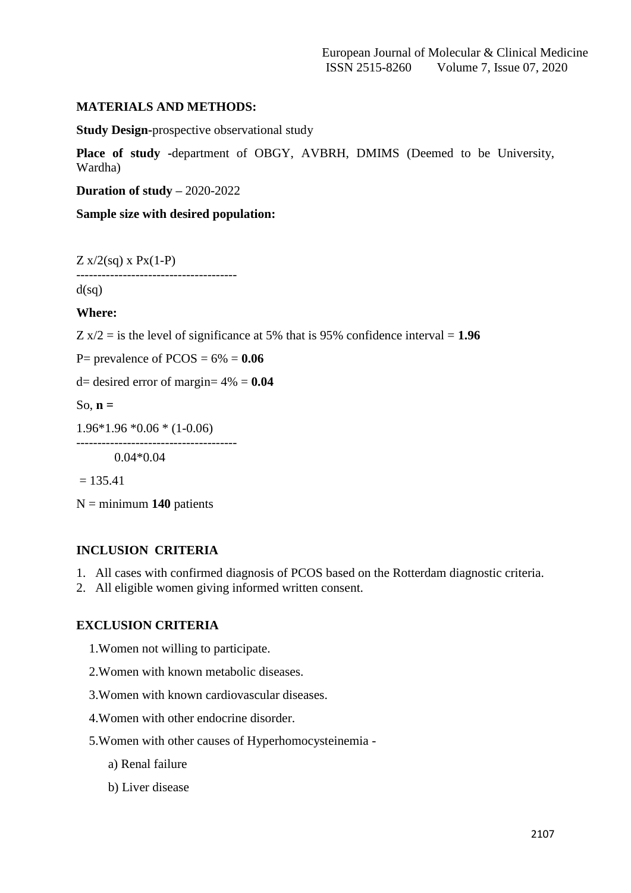## **MATERIALS AND METHODS:**

**Study Design-**prospective observational study

Place of study -department of OBGY, AVBRH, DMIMS (Deemed to be University, Wardha)

**Duration of study –** 2020-2022

**Sample size with desired population:**

 $Z x/2(sq) x Px(1-P)$ 

--------------------------------------

 $d(sq)$ 

**Where:**

 $Z \text{ x}/2 = \text{ is the level of significance at 5\% that is 95\% confidence interval = 1.96$ 

P= prevalence of  $PCOS = 6\% = 0.06$ 

d= desired error of margin=  $4\% = 0.04$ 

--------------------------------------

So, **n =**

1.96\*1.96 \*0.06 \* (1-0.06)

0.04\*0.04

 $= 135.41$ 

N = minimum **140** patients

# **INCLUSION CRITERIA**

- 1. All cases with confirmed diagnosis of PCOS based on the Rotterdam diagnostic criteria.
- 2. All eligible women giving informed written consent.

## **EXCLUSION CRITERIA**

- 1.Women not willing to participate.
- 2.Women with known metabolic diseases.
- 3.Women with known cardiovascular diseases.
- 4.Women with other endocrine disorder.
- 5.Women with other causes of Hyperhomocysteinemia
	- a) Renal failure
	- b) Liver disease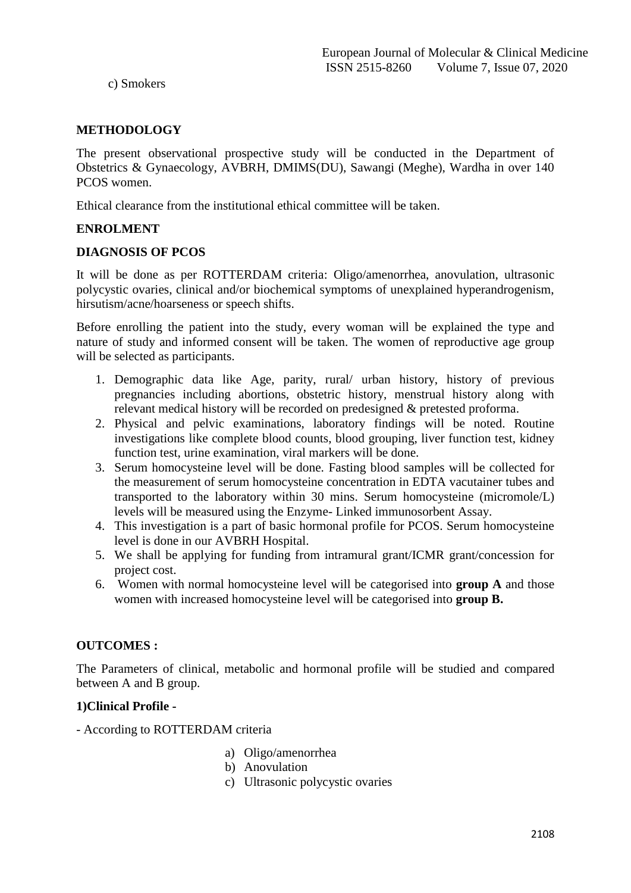c) Smokers

## **METHODOLOGY**

The present observational prospective study will be conducted in the Department of Obstetrics & Gynaecology, AVBRH, DMIMS(DU), Sawangi (Meghe), Wardha in over 140 PCOS women.

Ethical clearance from the institutional ethical committee will be taken.

## **ENROLMENT**

## **DIAGNOSIS OF PCOS**

It will be done as per ROTTERDAM criteria: Oligo/amenorrhea, anovulation, ultrasonic polycystic ovaries, clinical and/or biochemical symptoms of unexplained hyperandrogenism, hirsutism/acne/hoarseness or speech shifts.

Before enrolling the patient into the study, every woman will be explained the type and nature of study and informed consent will be taken. The women of reproductive age group will be selected as participants.

- 1. Demographic data like Age, parity, rural/ urban history, history of previous pregnancies including abortions, obstetric history, menstrual history along with relevant medical history will be recorded on predesigned & pretested proforma.
- 2. Physical and pelvic examinations, laboratory findings will be noted. Routine investigations like complete blood counts, blood grouping, liver function test, kidney function test, urine examination, viral markers will be done.
- 3. Serum homocysteine level will be done. Fasting blood samples will be collected for the measurement of serum homocysteine concentration in EDTA vacutainer tubes and transported to the laboratory within 30 mins. Serum homocysteine (micromole/L) levels will be measured using the Enzyme- Linked immunosorbent Assay.
- 4. This investigation is a part of basic hormonal profile for PCOS. Serum homocysteine level is done in our AVBRH Hospital.
- 5. We shall be applying for funding from intramural grant/ICMR grant/concession for project cost.
- 6. Women with normal homocysteine level will be categorised into **group A** and those women with increased homocysteine level will be categorised into **group B.**

# **OUTCOMES :**

The Parameters of clinical, metabolic and hormonal profile will be studied and compared between A and B group.

## **1)Clinical Profile -**

- According to ROTTERDAM criteria

- a) Oligo/amenorrhea
- b) Anovulation
- c) Ultrasonic polycystic ovaries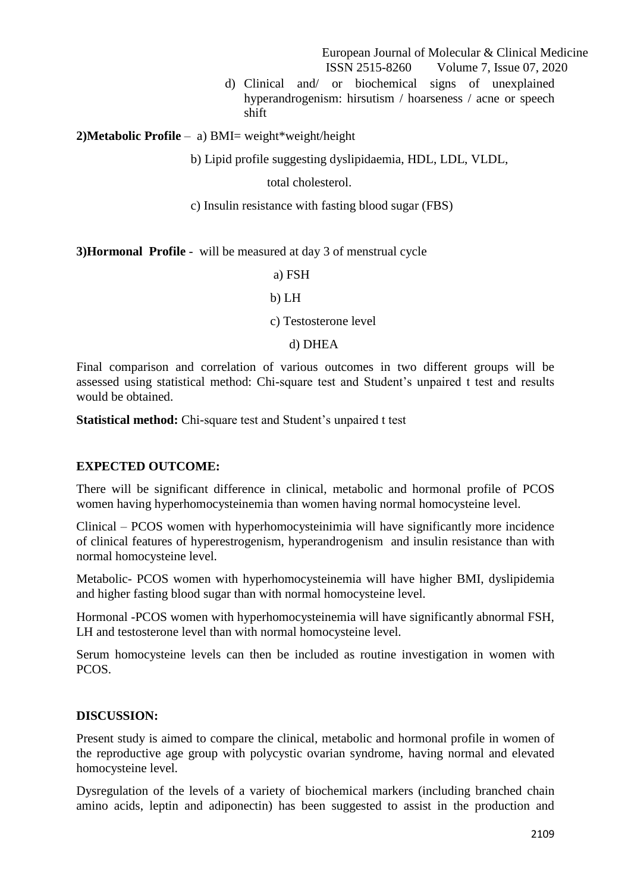d) Clinical and/ or biochemical signs of unexplained hyperandrogenism: hirsutism / hoarseness / acne or speech shift

**2)Metabolic Profile** – a) BMI= weight\*weight/height

b) Lipid profile suggesting dyslipidaemia, HDL, LDL, VLDL,

total cholesterol.

c) Insulin resistance with fasting blood sugar (FBS)

**3)Hormonal Profile** - will be measured at day 3 of menstrual cycle

a) FSH

b) LH

c) Testosterone level

#### d) DHEA

Final comparison and correlation of various outcomes in two different groups will be assessed using statistical method: Chi-square test and Student's unpaired t test and results would be obtained.

**Statistical method:** Chi-square test and Student's unpaired t test

## **EXPECTED OUTCOME:**

There will be significant difference in clinical, metabolic and hormonal profile of PCOS women having hyperhomocysteinemia than women having normal homocysteine level.

Clinical – PCOS women with hyperhomocysteinimia will have significantly more incidence of clinical features of hyperestrogenism, hyperandrogenism and insulin resistance than with normal homocysteine level.

Metabolic- PCOS women with hyperhomocysteinemia will have higher BMI, dyslipidemia and higher fasting blood sugar than with normal homocysteine level.

Hormonal -PCOS women with hyperhomocysteinemia will have significantly abnormal FSH, LH and testosterone level than with normal homocysteine level.

Serum homocysteine levels can then be included as routine investigation in women with PCOS.

## **DISCUSSION:**

Present study is aimed to compare the clinical, metabolic and hormonal profile in women of the reproductive age group with polycystic ovarian syndrome, having normal and elevated homocysteine level.

Dysregulation of the levels of a variety of biochemical markers (including branched chain amino acids, leptin and adiponectin) has been suggested to assist in the production and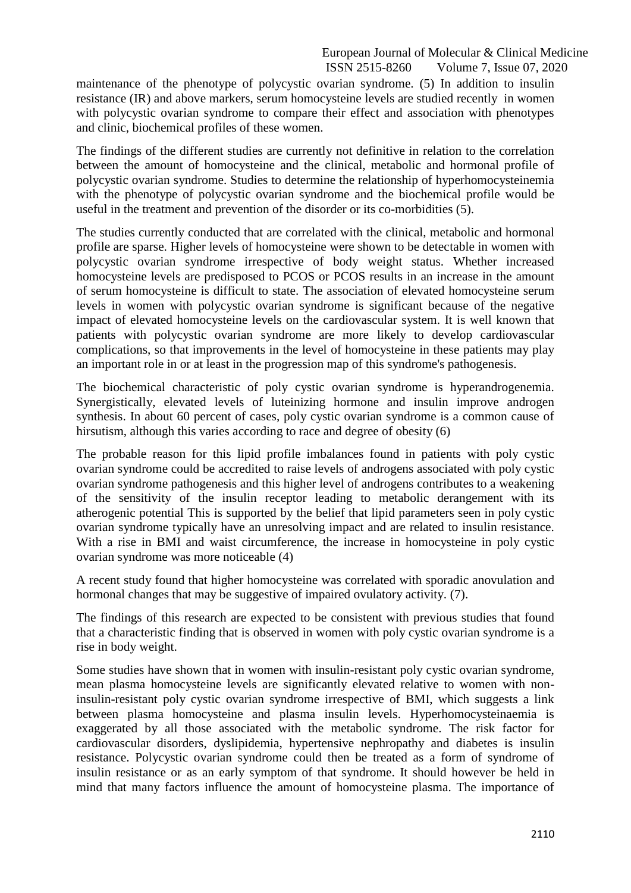maintenance of the phenotype of polycystic ovarian syndrome. (5) In addition to insulin resistance (IR) and above markers, serum homocysteine levels are studied recently in women with polycystic ovarian syndrome to compare their effect and association with phenotypes and clinic, biochemical profiles of these women.

The findings of the different studies are currently not definitive in relation to the correlation between the amount of homocysteine and the clinical, metabolic and hormonal profile of polycystic ovarian syndrome. Studies to determine the relationship of hyperhomocysteinemia with the phenotype of polycystic ovarian syndrome and the biochemical profile would be useful in the treatment and prevention of the disorder or its co-morbidities (5).

The studies currently conducted that are correlated with the clinical, metabolic and hormonal profile are sparse. Higher levels of homocysteine were shown to be detectable in women with polycystic ovarian syndrome irrespective of body weight status. Whether increased homocysteine levels are predisposed to PCOS or PCOS results in an increase in the amount of serum homocysteine is difficult to state. The association of elevated homocysteine serum levels in women with polycystic ovarian syndrome is significant because of the negative impact of elevated homocysteine levels on the cardiovascular system. It is well known that patients with polycystic ovarian syndrome are more likely to develop cardiovascular complications, so that improvements in the level of homocysteine in these patients may play an important role in or at least in the progression map of this syndrome's pathogenesis.

The biochemical characteristic of poly cystic ovarian syndrome is hyperandrogenemia. Synergistically, elevated levels of luteinizing hormone and insulin improve androgen synthesis. In about 60 percent of cases, poly cystic ovarian syndrome is a common cause of hirsutism, although this varies according to race and degree of obesity (6)

The probable reason for this lipid profile imbalances found in patients with poly cystic ovarian syndrome could be accredited to raise levels of androgens associated with poly cystic ovarian syndrome pathogenesis and this higher level of androgens contributes to a weakening of the sensitivity of the insulin receptor leading to metabolic derangement with its atherogenic potential This is supported by the belief that lipid parameters seen in poly cystic ovarian syndrome typically have an unresolving impact and are related to insulin resistance. With a rise in BMI and waist circumference, the increase in homocysteine in poly cystic ovarian syndrome was more noticeable (4)

A recent study found that higher homocysteine was correlated with sporadic anovulation and hormonal changes that may be suggestive of impaired ovulatory activity. (7).

The findings of this research are expected to be consistent with previous studies that found that a characteristic finding that is observed in women with poly cystic ovarian syndrome is a rise in body weight.

Some studies have shown that in women with insulin-resistant poly cystic ovarian syndrome, mean plasma homocysteine levels are significantly elevated relative to women with noninsulin-resistant poly cystic ovarian syndrome irrespective of BMI, which suggests a link between plasma homocysteine and plasma insulin levels. Hyperhomocysteinaemia is exaggerated by all those associated with the metabolic syndrome. The risk factor for cardiovascular disorders, dyslipidemia, hypertensive nephropathy and diabetes is insulin resistance. Polycystic ovarian syndrome could then be treated as a form of syndrome of insulin resistance or as an early symptom of that syndrome. It should however be held in mind that many factors influence the amount of homocysteine plasma. The importance of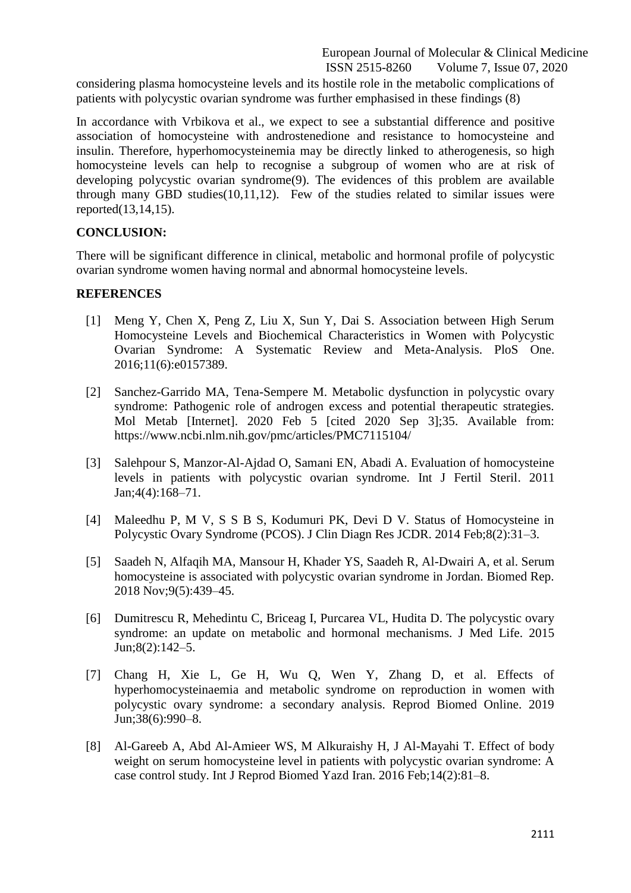considering plasma homocysteine levels and its hostile role in the metabolic complications of patients with polycystic ovarian syndrome was further emphasised in these findings (8)

In accordance with Vrbikova et al., we expect to see a substantial difference and positive association of homocysteine with androstenedione and resistance to homocysteine and insulin. Therefore, hyperhomocysteinemia may be directly linked to atherogenesis, so high homocysteine levels can help to recognise a subgroup of women who are at risk of developing polycystic ovarian syndrome(9). The evidences of this problem are available through many GBD studies(10,11,12). Few of the studies related to similar issues were reported(13,14,15).

## **CONCLUSION:**

There will be significant difference in clinical, metabolic and hormonal profile of polycystic ovarian syndrome women having normal and abnormal homocysteine levels.

## **REFERENCES**

- [1] Meng Y, Chen X, Peng Z, Liu X, Sun Y, Dai S. Association between High Serum Homocysteine Levels and Biochemical Characteristics in Women with Polycystic Ovarian Syndrome: A Systematic Review and Meta-Analysis. PloS One. 2016;11(6):e0157389.
- [2] Sanchez-Garrido MA, Tena-Sempere M. Metabolic dysfunction in polycystic ovary syndrome: Pathogenic role of androgen excess and potential therapeutic strategies. Mol Metab [Internet]. 2020 Feb 5 [cited 2020 Sep 3];35. Available from: https://www.ncbi.nlm.nih.gov/pmc/articles/PMC7115104/
- [3] Salehpour S, Manzor-Al-Ajdad O, Samani EN, Abadi A. Evaluation of homocysteine levels in patients with polycystic ovarian syndrome. Int J Fertil Steril. 2011 Jan;4(4):168–71.
- [4] Maleedhu P, M V, S S B S, Kodumuri PK, Devi D V. Status of Homocysteine in Polycystic Ovary Syndrome (PCOS). J Clin Diagn Res JCDR. 2014 Feb;8(2):31–3.
- [5] Saadeh N, Alfaqih MA, Mansour H, Khader YS, Saadeh R, Al-Dwairi A, et al. Serum homocysteine is associated with polycystic ovarian syndrome in Jordan. Biomed Rep. 2018 Nov;9(5):439–45.
- [6] Dumitrescu R, Mehedintu C, Briceag I, Purcarea VL, Hudita D. The polycystic ovary syndrome: an update on metabolic and hormonal mechanisms. J Med Life. 2015 Jun;8(2):142–5.
- [7] Chang H, Xie L, Ge H, Wu Q, Wen Y, Zhang D, et al. Effects of hyperhomocysteinaemia and metabolic syndrome on reproduction in women with polycystic ovary syndrome: a secondary analysis. Reprod Biomed Online. 2019 Jun;38(6):990–8.
- [8] Al-Gareeb A, Abd Al-Amieer WS, M Alkuraishy H, J Al-Mayahi T. Effect of body weight on serum homocysteine level in patients with polycystic ovarian syndrome: A case control study. Int J Reprod Biomed Yazd Iran. 2016 Feb;14(2):81–8.